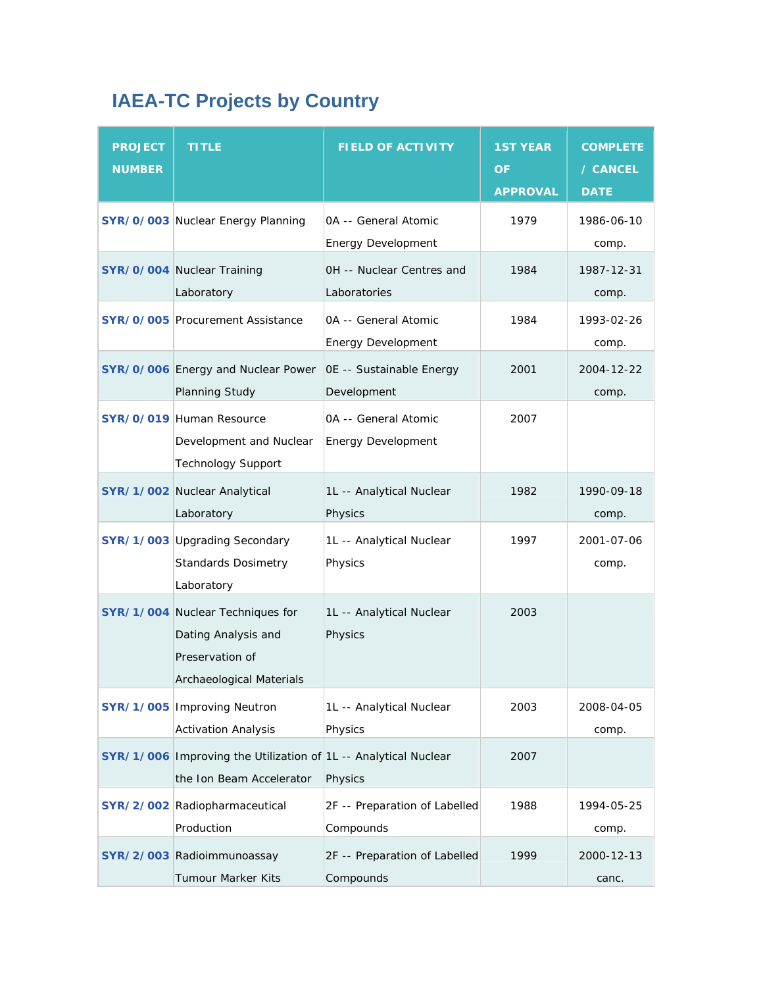## **IAEA-TC Projects by Country**

| <b>PROJECT</b><br><b>NUMBER</b> | <b>TITLE</b>                                                                                           | <b>FIELD OF ACTIVITY</b>                                 | <b>1ST YEAR</b><br><b>OF</b><br><b>APPROVAL</b> | <b>COMPLETE</b><br>/ CANCEL<br><b>DATE</b> |
|---------------------------------|--------------------------------------------------------------------------------------------------------|----------------------------------------------------------|-------------------------------------------------|--------------------------------------------|
|                                 | SYR/0/003 Nuclear Energy Planning                                                                      | <b>0A -- General Atomic</b><br><b>Energy Development</b> | 1979                                            | 1986-06-10<br>comp.                        |
|                                 | SYR/0/004 Nuclear Training<br>Laboratory                                                               | OH -- Nuclear Centres and<br>Laboratories                | 1984                                            | 1987-12-31<br>comp.                        |
|                                 | <b>SYR/0/005 Procurement Assistance</b>                                                                | <b>0A -- General Atomic</b><br><b>Energy Development</b> | 1984                                            | 1993-02-26<br>comp.                        |
|                                 | SYR/0/006 Energy and Nuclear Power<br>Planning Study                                                   | OE -- Sustainable Energy<br>Development                  | 2001                                            | 2004-12-22<br>comp.                        |
|                                 | <b>SYR/0/019 Human Resource</b><br>Development and Nuclear<br><b>Technology Support</b>                | <b>0A -- General Atomic</b><br><b>Energy Development</b> | 2007                                            |                                            |
|                                 | SYR/1/002 Nuclear Analytical<br>Laboratory                                                             | 1L -- Analytical Nuclear<br>Physics                      | 1982                                            | 1990-09-18<br>comp.                        |
|                                 | SYR/1/003 Upgrading Secondary<br><b>Standards Dosimetry</b><br>Laboratory                              | 1L -- Analytical Nuclear<br>Physics                      | 1997                                            | 2001-07-06<br>comp.                        |
|                                 | SYR/1/004 Nuclear Techniques for<br>Dating Analysis and<br>Preservation of<br>Archaeological Materials | 1L -- Analytical Nuclear<br>Physics                      | 2003                                            |                                            |
|                                 | <b>SYR/1/005 Improving Neutron</b><br><b>Activation Analysis</b>                                       | 1L -- Analytical Nuclear<br>Physics                      | 2003                                            | 2008-04-05<br>comp.                        |
|                                 | SYR/1/006 Improving the Utilization of 1L -- Analytical Nuclear<br>the Ion Beam Accelerator            | Physics                                                  | 2007                                            |                                            |
|                                 | SYR/2/002 Radiopharmaceutical<br>Production                                                            | 2F -- Preparation of Labelled<br>Compounds               | 1988                                            | 1994-05-25<br>comp.                        |
|                                 | SYR/2/003 Radioimmunoassay<br>Tumour Marker Kits                                                       | 2F -- Preparation of Labelled<br>Compounds               | 1999                                            | 2000-12-13<br>canc.                        |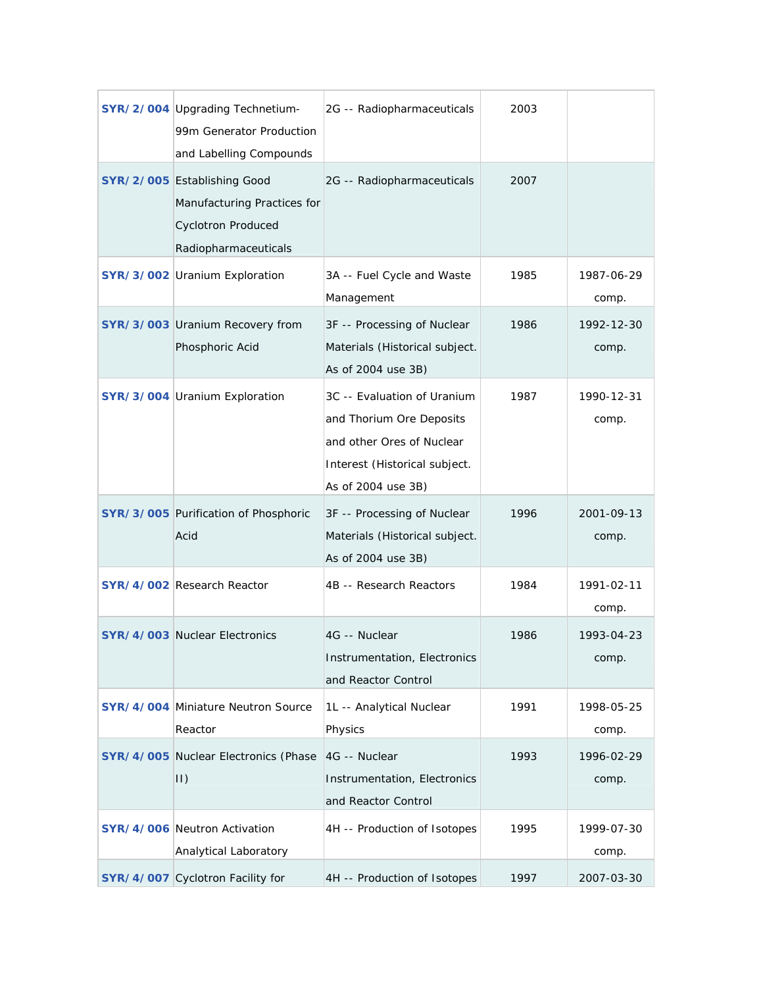| <b>SYR/2/004 Upgrading Technetium-</b><br>99m Generator Production<br>and Labelling Compounds                   | 2G -- Radiopharmaceuticals                                                                                                                  | 2003 |                     |
|-----------------------------------------------------------------------------------------------------------------|---------------------------------------------------------------------------------------------------------------------------------------------|------|---------------------|
| SYR/2/005 Establishing Good<br>Manufacturing Practices for<br><b>Cyclotron Produced</b><br>Radiopharmaceuticals | 2G -- Radiopharmaceuticals                                                                                                                  | 2007 |                     |
| SYR/3/002 Uranium Exploration                                                                                   | 3A -- Fuel Cycle and Waste<br>Management                                                                                                    | 1985 | 1987-06-29<br>comp. |
| SYR/3/003 Uranium Recovery from<br>Phosphoric Acid                                                              | 3F -- Processing of Nuclear<br>Materials (Historical subject.<br>As of 2004 use 3B)                                                         | 1986 | 1992-12-30<br>comp. |
| SYR/3/004 Uranium Exploration                                                                                   | 3C -- Evaluation of Uranium<br>and Thorium Ore Deposits<br>and other Ores of Nuclear<br>Interest (Historical subject.<br>As of 2004 use 3B) | 1987 | 1990-12-31<br>comp. |
| SYR/3/005 Purification of Phosphoric<br>Acid                                                                    | 3F -- Processing of Nuclear<br>Materials (Historical subject.<br>As of 2004 use 3B)                                                         | 1996 | 2001-09-13<br>comp. |
| SYR/4/002 Research Reactor                                                                                      | 4B -- Research Reactors                                                                                                                     | 1984 | 1991-02-11<br>comp. |
| <b>SYR/4/003 Nuclear Electronics</b>                                                                            | 4G -- Nuclear<br>Instrumentation, Electronics<br>and Reactor Control                                                                        | 1986 | 1993-04-23<br>comp. |
| <b>SYR/4/004 Miniature Neutron Source</b><br>Reactor                                                            | 1L -- Analytical Nuclear<br>Physics                                                                                                         | 1991 | 1998-05-25<br>comp. |
| SYR/4/005 Nuclear Electronics (Phase<br>$ 1\rangle$                                                             | 4G -- Nuclear<br>Instrumentation, Electronics<br>and Reactor Control                                                                        | 1993 | 1996-02-29<br>comp. |
| <b>SYR/4/006 Neutron Activation</b><br>Analytical Laboratory                                                    | 4H -- Production of Isotopes                                                                                                                | 1995 | 1999-07-30<br>comp. |
| SYR/4/007 Cyclotron Facility for                                                                                | 4H -- Production of Isotopes                                                                                                                | 1997 | 2007-03-30          |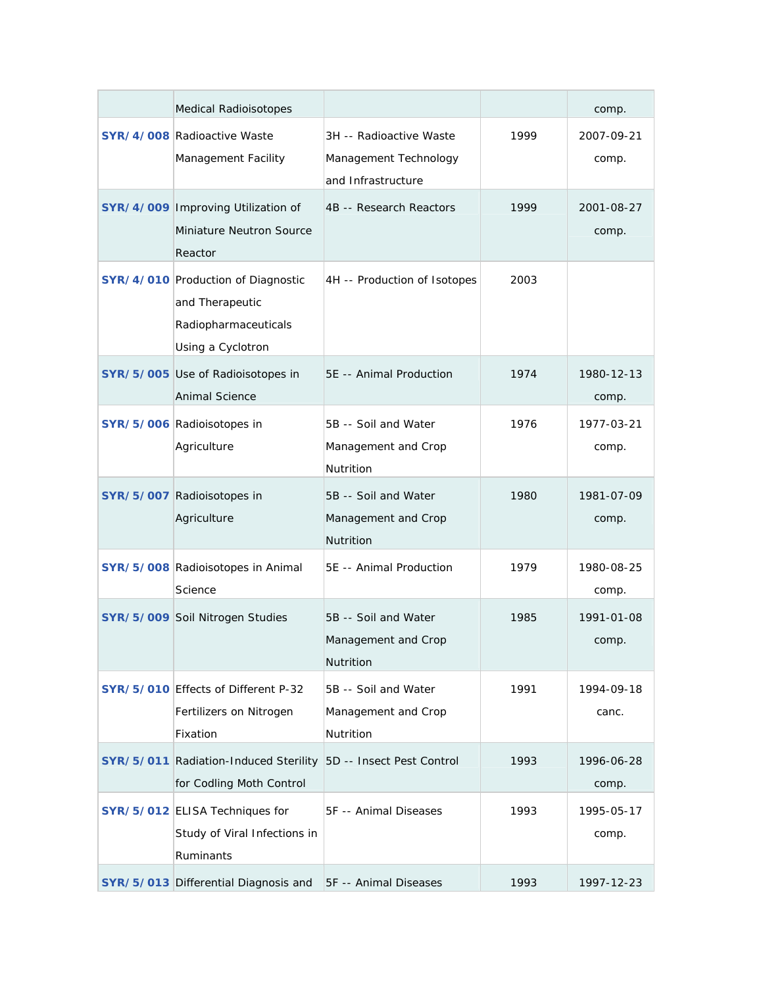| <b>Medical Radioisotopes</b>                                                                              |                                                                        |      | comp.               |
|-----------------------------------------------------------------------------------------------------------|------------------------------------------------------------------------|------|---------------------|
| <b>SYR/4/008 Radioactive Waste</b><br>Management Facility                                                 | 3H -- Radioactive Waste<br>Management Technology<br>and Infrastructure | 1999 | 2007-09-21<br>comp. |
| SYR/4/009 Improving Utilization of<br>Miniature Neutron Source<br>Reactor                                 | 4B -- Research Reactors                                                | 1999 | 2001-08-27<br>comp. |
| <b>SYR/4/010 Production of Diagnostic</b><br>and Therapeutic<br>Radiopharmaceuticals<br>Using a Cyclotron | 4H -- Production of Isotopes                                           | 2003 |                     |
| SYR/5/005 Use of Radioisotopes in<br>Animal Science                                                       | 5E -- Animal Production                                                | 1974 | 1980-12-13<br>comp. |
| SYR/5/006 Radioisotopes in<br>Agriculture                                                                 | 5B -- Soil and Water<br>Management and Crop<br>Nutrition               | 1976 | 1977-03-21<br>comp. |
| SYR/5/007 Radioisotopes in<br>Agriculture                                                                 | 5B -- Soil and Water<br>Management and Crop<br><b>Nutrition</b>        | 1980 | 1981-07-09<br>comp. |
| SYR/5/008 Radioisotopes in Animal<br>Science                                                              | 5E -- Animal Production                                                | 1979 | 1980-08-25<br>comp. |
| SYR/5/009 Soil Nitrogen Studies                                                                           | 5B -- Soil and Water<br>Management and Crop<br>Nutrition               | 1985 | 1991-01-08<br>comp. |
| SYR/5/010 Effects of Different P-32<br>Fertilizers on Nitrogen<br>Fixation                                | 5B -- Soil and Water<br>Management and Crop<br>Nutrition               | 1991 | 1994-09-18<br>canc. |
| SYR/5/011 Radiation-Induced Sterility<br>for Codling Moth Control                                         | 5D -- Insect Pest Control                                              | 1993 | 1996-06-28<br>comp. |
| SYR/5/012 ELISA Techniques for<br>Study of Viral Infections in<br>Ruminants                               | 5F -- Animal Diseases                                                  | 1993 | 1995-05-17<br>comp. |
| SYR/5/013 Differential Diagnosis and                                                                      | 5F -- Animal Diseases                                                  | 1993 | 1997-12-23          |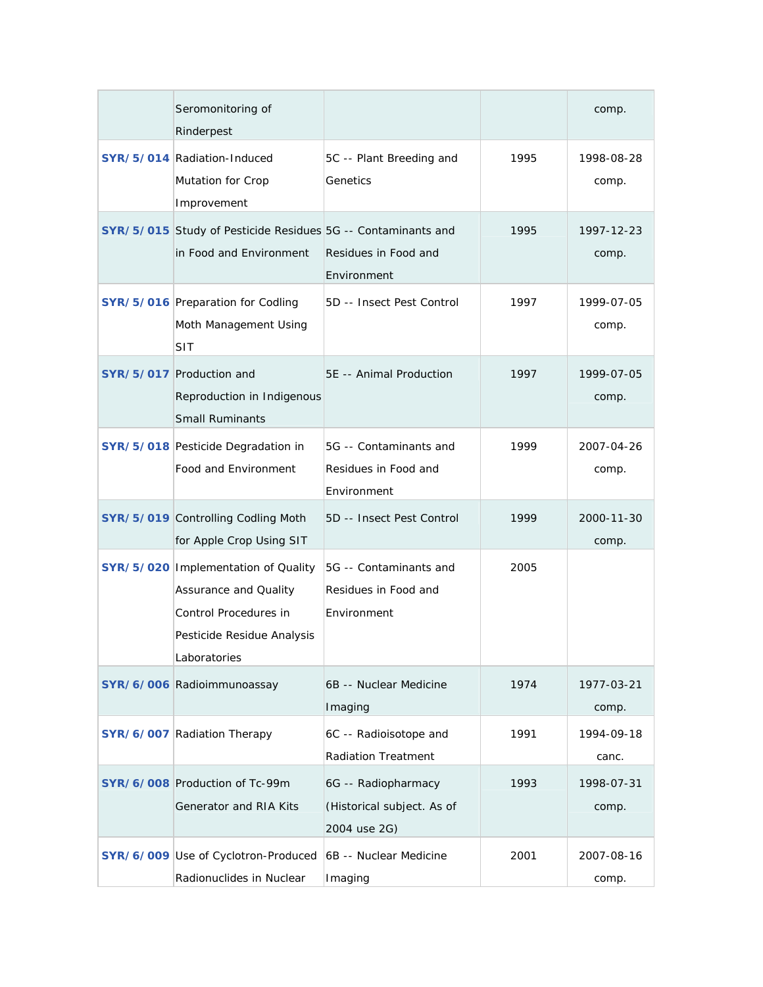| Seromonitoring of<br>Rinderpest                                                                                                       |                                                                   |      | comp.               |
|---------------------------------------------------------------------------------------------------------------------------------------|-------------------------------------------------------------------|------|---------------------|
| SYR/5/014 Radiation-Induced<br>Mutation for Crop<br>Improvement                                                                       | 5C -- Plant Breeding and<br>Genetics                              | 1995 | 1998-08-28<br>comp. |
| SYR/5/015 Study of Pesticide Residues 5G -- Contaminants and<br>in Food and Environment                                               | Residues in Food and<br>Environment                               | 1995 | 1997-12-23<br>comp. |
| SYR/5/016 Preparation for Codling<br>Moth Management Using<br>SIT                                                                     | 5D -- Insect Pest Control                                         | 1997 | 1999-07-05<br>comp. |
| SYR/5/017 Production and<br>Reproduction in Indigenous<br><b>Small Ruminants</b>                                                      | 5E -- Animal Production                                           | 1997 | 1999-07-05<br>comp. |
| SYR/5/018 Pesticide Degradation in<br>Food and Environment                                                                            | 5G -- Contaminants and<br>Residues in Food and<br>Environment     | 1999 | 2007-04-26<br>comp. |
| SYR/5/019 Controlling Codling Moth<br>for Apple Crop Using SIT                                                                        | 5D -- Insect Pest Control                                         | 1999 | 2000-11-30<br>comp. |
| SYR/5/020   Implementation of Quality<br>Assurance and Quality<br>Control Procedures in<br>Pesticide Residue Analysis<br>Laboratories | 5G -- Contaminants and<br>Residues in Food and<br>Environment     | 2005 |                     |
| SYR/6/006 Radioimmunoassay                                                                                                            | 6B -- Nuclear Medicine<br>Imaging                                 | 1974 | 1977-03-21<br>comp. |
| SYR/6/007 Radiation Therapy                                                                                                           | 6C -- Radioisotope and<br><b>Radiation Treatment</b>              | 1991 | 1994-09-18<br>canc. |
| SYR/6/008 Production of Tc-99m<br>Generator and RIA Kits                                                                              | 6G -- Radiopharmacy<br>(Historical subject. As of<br>2004 use 2G) | 1993 | 1998-07-31<br>comp. |
| SYR/6/009 Use of Cyclotron-Produced<br>Radionuclides in Nuclear                                                                       | 6B -- Nuclear Medicine<br>Imaging                                 | 2001 | 2007-08-16<br>comp. |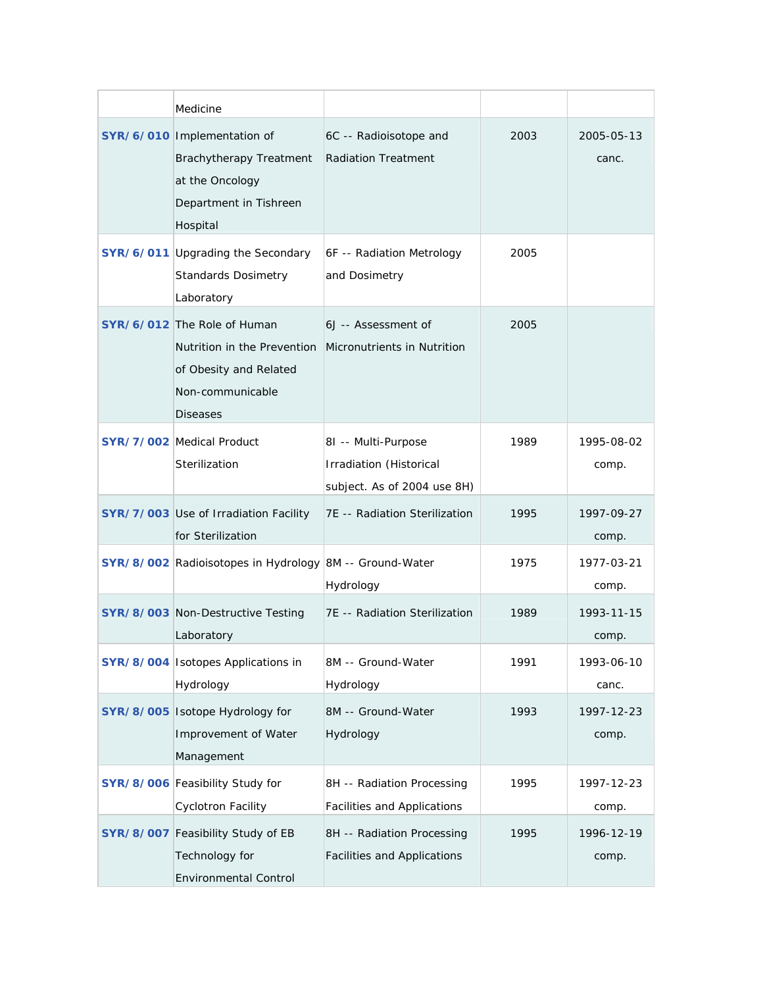|                  | Medicine                                                                                                                    |                                                                               |      |                     |
|------------------|-----------------------------------------------------------------------------------------------------------------------------|-------------------------------------------------------------------------------|------|---------------------|
|                  | SYR/6/010 Implementation of<br><b>Brachytherapy Treatment</b><br>at the Oncology<br>Department in Tishreen<br>Hospital      | 6C -- Radioisotope and<br><b>Radiation Treatment</b>                          | 2003 | 2005-05-13<br>canc. |
|                  | SYR/6/011 Upgrading the Secondary<br><b>Standards Dosimetry</b><br>Laboratory                                               | 6F -- Radiation Metrology<br>and Dosimetry                                    | 2005 |                     |
|                  | SYR/6/012 The Role of Human<br>Nutrition in the Prevention<br>of Obesity and Related<br>Non-communicable<br><b>Diseases</b> | 6J -- Assessment of<br>Micronutrients in Nutrition                            | 2005 |                     |
|                  | <b>SYR/7/002</b> Medical Product<br>Sterilization                                                                           | 81 -- Multi-Purpose<br>Irradiation (Historical<br>subject. As of 2004 use 8H) | 1989 | 1995-08-02<br>comp. |
|                  | SYR/7/003 Use of Irradiation Facility<br>for Sterilization                                                                  | 7E -- Radiation Sterilization                                                 | 1995 | 1997-09-27<br>comp. |
|                  | SYR/8/002 Radioisotopes in Hydrology 8M -- Ground-Water                                                                     | Hydrology                                                                     | 1975 | 1977-03-21<br>comp. |
|                  | SYR/8/003 Non-Destructive Testing<br>Laboratory                                                                             | 7E -- Radiation Sterilization                                                 | 1989 | 1993-11-15<br>comp. |
|                  | SYR/8/004 Isotopes Applications in<br>Hydrology                                                                             | 8M -- Ground-Water<br>Hydrology                                               | 1991 | 1993-06-10<br>canc. |
|                  | SYR/8/005 Isotope Hydrology for<br>Improvement of Water<br>Management                                                       | 8M -- Ground-Water<br>Hydrology                                               | 1993 | 1997-12-23<br>comp. |
|                  | SYR/8/006 Feasibility Study for<br><b>Cyclotron Facility</b>                                                                | 8H -- Radiation Processing<br><b>Facilities and Applications</b>              | 1995 | 1997-12-23<br>comp. |
| <b>SYR/8/007</b> | Feasibility Study of EB<br>Technology for<br><b>Environmental Control</b>                                                   | 8H -- Radiation Processing<br><b>Facilities and Applications</b>              | 1995 | 1996-12-19<br>comp. |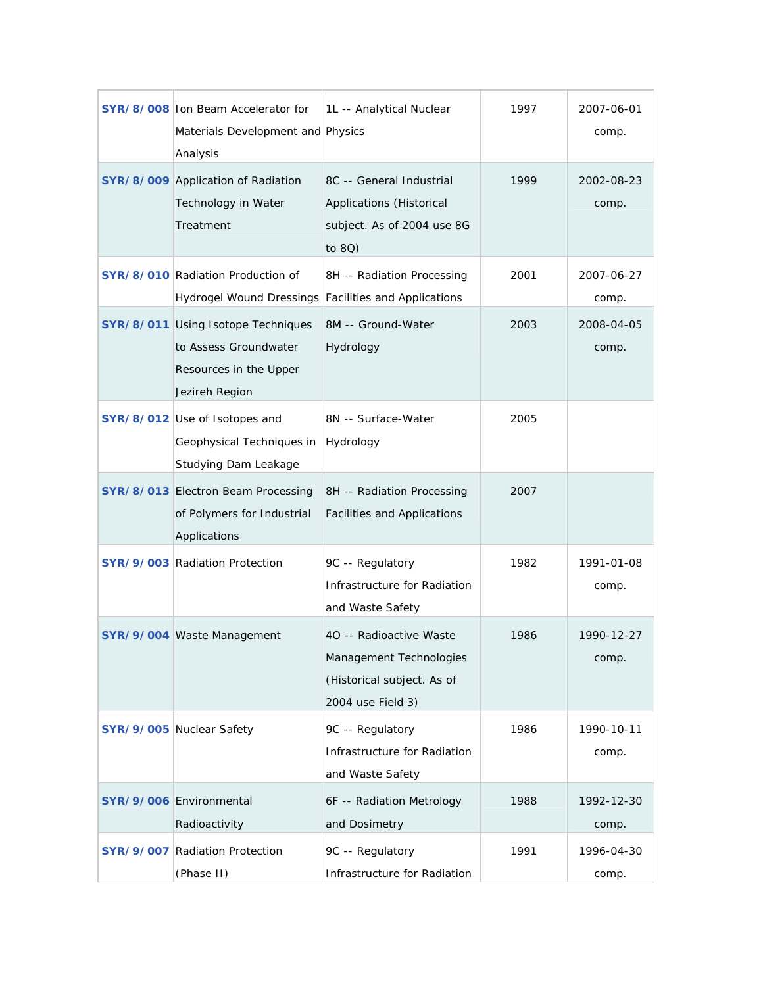|                  | SYR/8/008 Ion Beam Accelerator for<br>Materials Development and Physics<br>Analysis                     | 1L -- Analytical Nuclear                                                                              | 1997 | 2007-06-01<br>comp. |
|------------------|---------------------------------------------------------------------------------------------------------|-------------------------------------------------------------------------------------------------------|------|---------------------|
|                  | SYR/8/009 Application of Radiation<br>Technology in Water<br>Treatment                                  | 8C -- General Industrial<br>Applications (Historical<br>subject. As of 2004 use 8G<br>to 8Q)          | 1999 | 2002-08-23<br>comp. |
|                  | SYR/8/010 Radiation Production of<br>Hydrogel Wound Dressings                                           | 8H -- Radiation Processing<br>Facilities and Applications                                             | 2001 | 2007-06-27<br>comp. |
|                  | SYR/8/011 Using Isotope Techniques<br>to Assess Groundwater<br>Resources in the Upper<br>Jezireh Region | 8M -- Ground-Water<br>Hydrology                                                                       | 2003 | 2008-04-05<br>comp. |
|                  | SYR/8/012 Use of Isotopes and<br>Geophysical Techniques in<br>Studying Dam Leakage                      | 8N -- Surface-Water<br>Hydrology                                                                      | 2005 |                     |
|                  | SYR/8/013 Electron Beam Processing<br>of Polymers for Industrial<br>Applications                        | 8H -- Radiation Processing<br>Facilities and Applications                                             | 2007 |                     |
|                  | SYR/9/003 Radiation Protection                                                                          | 9C -- Regulatory<br>Infrastructure for Radiation<br>and Waste Safety                                  | 1982 | 1991-01-08<br>comp. |
|                  | SYR/9/004 Waste Management                                                                              | 40 -- Radioactive Waste<br>Management Technologies<br>(Historical subject. As of<br>2004 use Field 3) | 1986 | 1990-12-27<br>comp. |
|                  | SYR/9/005 Nuclear Safety                                                                                | 9C -- Regulatory<br>Infrastructure for Radiation<br>and Waste Safety                                  | 1986 | 1990-10-11<br>comp. |
|                  | SYR/9/006 Environmental<br>Radioactivity                                                                | 6F -- Radiation Metrology<br>and Dosimetry                                                            | 1988 | 1992-12-30<br>comp. |
| <b>SYR/9/007</b> | <b>Radiation Protection</b><br>(Phase II)                                                               | 9C -- Regulatory<br>Infrastructure for Radiation                                                      | 1991 | 1996-04-30<br>comp. |